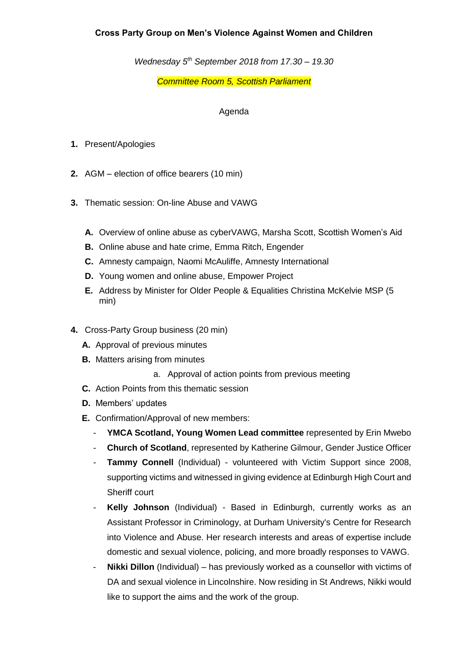## **Cross Party Group on Men's Violence Against Women and Children**

*Wednesday 5 th September 2018 from 17.30 – 19.30*

*Committee Room 5, Scottish Parliament*

## Agenda

- **1.** Present/Apologies
- **2.** AGM election of office bearers (10 min)
- **3.** Thematic session: On-line Abuse and VAWG
	- **A.** Overview of online abuse as cyberVAWG, Marsha Scott, Scottish Women's Aid
	- **B.** Online abuse and hate crime, Emma Ritch, Engender
	- **C.** Amnesty campaign, Naomi McAuliffe, Amnesty International
	- **D.** Young women and online abuse, Empower Project
	- **E.** Address by Minister for Older People & Equalities Christina McKelvie MSP (5 min)
- **4.** Cross-Party Group business (20 min)
	- **A.** Approval of previous minutes
	- **B.** Matters arising from minutes
		- a. Approval of action points from previous meeting
	- **C.** Action Points from this thematic session
	- **D.** Members' updates
	- **E.** Confirmation/Approval of new members:
		- **YMCA Scotland, Young Women Lead committee** represented by Erin Mwebo
		- **Church of Scotland**, represented by Katherine Gilmour, Gender Justice Officer
		- **Tammy Connell** (Individual) volunteered with Victim Support since 2008, supporting victims and witnessed in giving evidence at Edinburgh High Court and Sheriff court
		- **Kelly Johnson** (Individual) Based in Edinburgh, currently works as an Assistant Professor in Criminology, at Durham University's Centre for Research into Violence and Abuse. Her research interests and areas of expertise include domestic and sexual violence, policing, and more broadly responses to VAWG.
		- **Nikki Dillon** (Individual) has previously worked as a counsellor with victims of DA and sexual violence in Lincolnshire. Now residing in St Andrews, Nikki would like to support the aims and the work of the group.